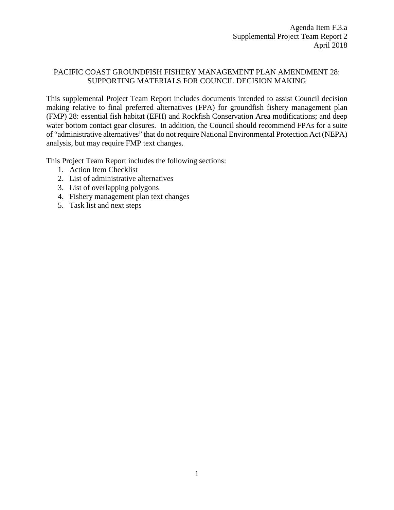### PACIFIC COAST GROUNDFISH FISHERY MANAGEMENT PLAN AMENDMENT 28: SUPPORTING MATERIALS FOR COUNCIL DECISION MAKING

This supplemental Project Team Report includes documents intended to assist Council decision making relative to final preferred alternatives (FPA) for groundfish fishery management plan (FMP) 28: essential fish habitat (EFH) and Rockfish Conservation Area modifications; and deep water bottom contact gear closures. In addition, the Council should recommend FPAs for a suite of "administrative alternatives" that do not require National Environmental Protection Act (NEPA) analysis, but may require FMP text changes.

This Project Team Report includes the following sections:

- 1. Action Item Checklist
- 2. List of administrative alternatives
- 3. List of overlapping polygons
- 4. Fishery management plan text changes
- 5. Task list and next steps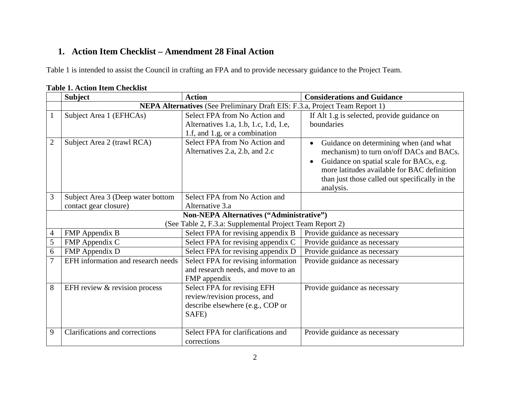# **1. Action Item Checklist – Amendment 28 Final Action**

Table 1 is intended to assist the Council in crafting an FPA and to provide necessary guidance to the Project Team.

|                          | <b>Subject</b>                                                              | <b>Action</b>                                                                                            | <b>Considerations and Guidance</b>                                                                                                                                                                                                                                     |  |  |
|--------------------------|-----------------------------------------------------------------------------|----------------------------------------------------------------------------------------------------------|------------------------------------------------------------------------------------------------------------------------------------------------------------------------------------------------------------------------------------------------------------------------|--|--|
|                          | NEPA Alternatives (See Preliminary Draft EIS: F.3.a, Project Team Report 1) |                                                                                                          |                                                                                                                                                                                                                                                                        |  |  |
| $\mathbf{1}$             | Subject Area 1 (EFHCAs)                                                     | Select FPA from No Action and<br>Alternatives 1.a, 1.b, 1.c, 1.d, 1.e,<br>1.f, and 1.g, or a combination | If Alt 1.g is selected, provide guidance on<br>boundaries                                                                                                                                                                                                              |  |  |
| $\overline{2}$           | Subject Area 2 (trawl RCA)                                                  | Select FPA from No Action and<br>Alternatives 2.a, 2.b, and 2.c                                          | Guidance on determining when (and what<br>$\bullet$<br>mechanism) to turn on/off DACs and BACs.<br>Guidance on spatial scale for BACs, e.g.<br>$\bullet$<br>more latitudes available for BAC definition<br>than just those called out specifically in the<br>analysis. |  |  |
| 3                        | Subject Area 3 (Deep water bottom                                           | Select FPA from No Action and                                                                            |                                                                                                                                                                                                                                                                        |  |  |
|                          | contact gear closure)                                                       | Alternative 3.a                                                                                          |                                                                                                                                                                                                                                                                        |  |  |
|                          |                                                                             | Non-NEPA Alternatives ("Administrative")                                                                 |                                                                                                                                                                                                                                                                        |  |  |
|                          |                                                                             | (See Table 2, F.3.a: Supplemental Project Team Report 2)                                                 |                                                                                                                                                                                                                                                                        |  |  |
| $\overline{\mathcal{A}}$ | FMP Appendix B                                                              | Select FPA for revising appendix B                                                                       | Provide guidance as necessary                                                                                                                                                                                                                                          |  |  |
| 5                        | FMP Appendix C                                                              | Select FPA for revising appendix C                                                                       | Provide guidance as necessary                                                                                                                                                                                                                                          |  |  |
| 6                        | FMP Appendix D                                                              | Select FPA for revising appendix D                                                                       | Provide guidance as necessary                                                                                                                                                                                                                                          |  |  |
| $\overline{7}$           | EFH information and research needs                                          | Select FPA for revising information<br>and research needs, and move to an<br>FMP appendix                | Provide guidance as necessary                                                                                                                                                                                                                                          |  |  |
| 8                        | EFH review & revision process                                               | Select FPA for revising EFH<br>review/revision process, and<br>describe elsewhere (e.g., COP or<br>SAFE) | Provide guidance as necessary                                                                                                                                                                                                                                          |  |  |
| 9                        | Clarifications and corrections                                              | Select FPA for clarifications and<br>corrections                                                         | Provide guidance as necessary                                                                                                                                                                                                                                          |  |  |

### **Table 1. Action Item Checklist**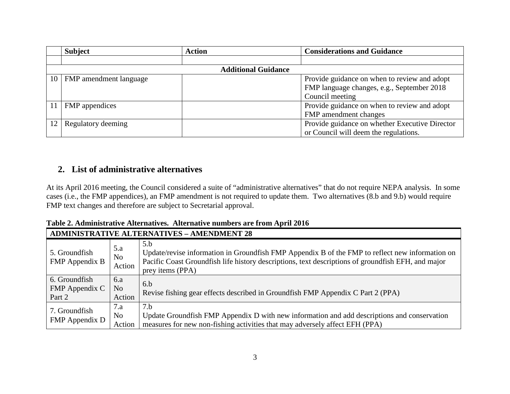|    | <b>Subject</b>         | <b>Action</b>              | <b>Considerations and Guidance</b>             |
|----|------------------------|----------------------------|------------------------------------------------|
|    |                        |                            |                                                |
|    |                        | <b>Additional Guidance</b> |                                                |
| 10 | FMP amendment language |                            | Provide guidance on when to review and adopt   |
|    |                        |                            | FMP language changes, e.g., September 2018     |
|    |                        |                            | Council meeting                                |
|    | FMP appendices         |                            | Provide guidance on when to review and adopt   |
|    |                        |                            | FMP amendment changes                          |
| 12 | Regulatory deeming     |                            | Provide guidance on whether Executive Director |
|    |                        |                            | or Council will deem the regulations.          |

## **2. List of administrative alternatives**

At its April 2016 meeting, the Council considered a suite of "administrative alternatives" that do not require NEPA analysis. In some cases (i.e., the FMP appendices), an FMP amendment is not required to update them. Two alternatives (8.b and 9.b) would require FMP text changes and therefore are subject to Secretarial approval.

|  | Table 2. Administrative Alternatives. Alternative numbers are from April 2016 |
|--|-------------------------------------------------------------------------------|
|--|-------------------------------------------------------------------------------|

|                                           | <b>ADMINISTRATIVE ALTERNATIVES - AMENDMENT 28</b> |                                                                                                                                                                                                                                  |  |  |  |
|-------------------------------------------|---------------------------------------------------|----------------------------------------------------------------------------------------------------------------------------------------------------------------------------------------------------------------------------------|--|--|--|
| 5. Groundfish<br><b>FMP</b> Appendix B    | 5.a<br>No<br>Action                               | 5.b<br>Update/revise information in Groundfish FMP Appendix B of the FMP to reflect new information on<br>Pacific Coast Groundfish life history descriptions, text descriptions of groundfish EFH, and major<br>prey items (PPA) |  |  |  |
| 6. Groundfish<br>FMP Appendix C<br>Part 2 | 6.a<br>N <sub>o</sub><br>Action                   | 6.h<br>Revise fishing gear effects described in Groundfish FMP Appendix C Part 2 (PPA)                                                                                                                                           |  |  |  |
| 7. Groundfish<br>FMP Appendix D           | 7.a<br>N <sub>o</sub><br>Action                   | 7.b<br>Update Groundfish FMP Appendix D with new information and add descriptions and conservation<br>measures for new non-fishing activities that may adversely affect EFH (PPA)                                                |  |  |  |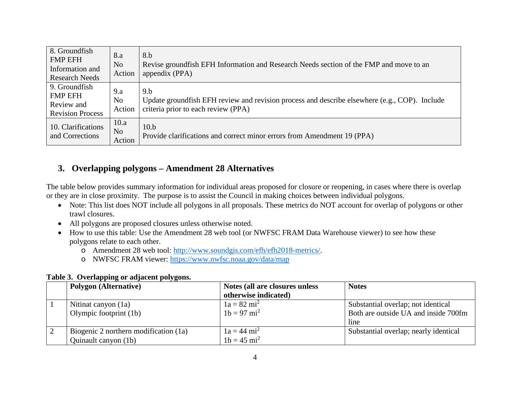| 8. Groundfish<br><b>FMP EFH</b><br>Information and<br><b>Research Needs</b> | 8.a<br>N <sub>o</sub><br>Action  | 8.b<br>Revise groundfish EFH Information and Research Needs section of the FMP and move to an<br>appendix (PPA)                              |
|-----------------------------------------------------------------------------|----------------------------------|----------------------------------------------------------------------------------------------------------------------------------------------|
| 9. Groundfish<br><b>FMP EFH</b><br>Review and<br><b>Revision Process</b>    | 9.a<br>N <sub>o</sub><br>Action  | 9.b<br>Update ground fish EFH review and revision process and describe elsewhere (e.g., COP). Include<br>criteria prior to each review (PPA) |
| 10. Clarifications<br>and Corrections                                       | 10.a<br>N <sub>o</sub><br>Action | 10.b<br>Provide clarifications and correct minor errors from Amendment 19 (PPA)                                                              |

## **3. Overlapping polygons – Amendment 28 Alternatives**

The table below provides summary information for individual areas proposed for closure or reopening, in cases where there is overlap or they are in close proximity. The purpose is to assist the Council in making choices between individual polygons.

- Note: This list does NOT include all polygons in all proposals. These metrics do NOT account for overlap of polygons or other trawl closures.
- All polygons are proposed closures unless otherwise noted.
- How to use this table: Use the Amendment 28 web tool (or NWFSC FRAM Data Warehouse viewer) to see how these polygons relate to each other.
	- o Amendment 28 web tool: [http://www.soundgis.com/efh/efh2018-metrics/.](http://www.soundgis.com/efh/efh2018-metrics/)
	- o NWFSC FRAM viewer:<https://www.nwfsc.noaa.gov/data/map>

#### **Table 3. Overlapping or adjacent polygons.**

| <b>Polygon</b> (Alternative)          | Notes (all are closures unless | <b>Notes</b>                          |
|---------------------------------------|--------------------------------|---------------------------------------|
|                                       | otherwise indicated)           |                                       |
| Nitinat canyon (1a)                   | $1a = 82 \text{ mi}^2$         | Substantial overlap; not identical    |
| Olympic footprint (1b)                | $1b = 97$ mi <sup>2</sup>      | Both are outside UA and inside 700fm  |
|                                       |                                | line                                  |
| Biogenic 2 northern modification (1a) | $1a = 44 \text{ mi}^2$         | Substantial overlap; nearly identical |
| Quinault canyon (1b)                  | $1b = 45$ mi <sup>2</sup>      |                                       |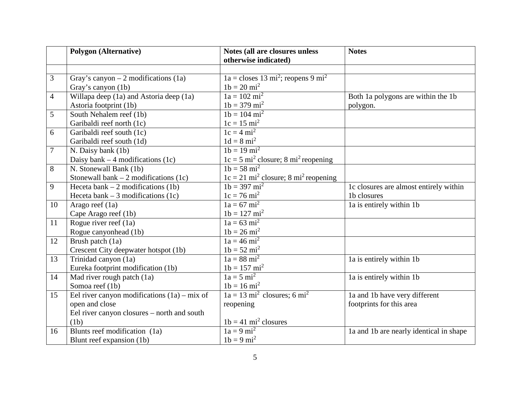|                | <b>Polygon (Alternative)</b>                   | Notes (all are closures unless<br>otherwise indicated)         | <b>Notes</b>                            |
|----------------|------------------------------------------------|----------------------------------------------------------------|-----------------------------------------|
|                |                                                |                                                                |                                         |
| 3              | Gray's canyon $-2$ modifications (1a)          | $1a =$ closes 13 mi <sup>2</sup> ; reopens 9 mi <sup>2</sup>   |                                         |
|                | Gray's canyon (1b)                             | $1b = 20$ mi <sup>2</sup>                                      |                                         |
| $\overline{4}$ | Willapa deep (1a) and Astoria deep (1a)        | $1a = 102 mi^2$                                                | Both 1a polygons are within the 1b      |
|                | Astoria footprint (1b)                         | $1b = 379$ mi <sup>2</sup>                                     | polygon.                                |
| 5              | South Nehalem reef (1b)                        | $1b = 104 \text{ mi}^2$                                        |                                         |
|                | Garibaldi reef north (1c)                      | $1c = 15 \text{ mi}^2$                                         |                                         |
| 6              | Garibaldi reef south (1c)                      | $1c = 4 mi2$                                                   |                                         |
|                | Garibaldi reef south (1d)                      | $1d = 8 mi^2$                                                  |                                         |
| 7              | N. Daisy bank (1b)                             | $1b = 19 mi^2$                                                 |                                         |
|                | Daisy bank $-4$ modifications (1c)             | $1c = 5$ mi <sup>2</sup> closure; 8 mi <sup>2</sup> reopening  |                                         |
| 8              | N. Stonewall Bank (1b)                         | $1b = 58$ mi <sup>2</sup>                                      |                                         |
|                | Stonewall bank $-2$ modifications (1c)         | $1c = 21$ mi <sup>2</sup> closure; 8 mi <sup>2</sup> reopening |                                         |
| 9              | Heceta bank $-2$ modifications (1b)            | $1b = 397$ mi <sup>2</sup>                                     | 1c closures are almost entirely within  |
|                | Heceta bank $-3$ modifications (1c)            | $1c = 76$ mi <sup>2</sup>                                      | 1b closures                             |
| 10             | Arago reef (1a)                                | $1a = 67$ mi <sup>2</sup>                                      | 1a is entirely within 1b                |
|                | Cape Arago reef (1b)                           | $1b = 127$ mi <sup>2</sup>                                     |                                         |
| 11             | Rogue river reef $(1a)$                        | $1a = 63$ mi <sup>2</sup>                                      |                                         |
|                | Rogue canyonhead (1b)                          | $1b = 26$ mi <sup>2</sup>                                      |                                         |
| 12             | Brush patch (1a)                               | $1a = 46 mi^2$                                                 |                                         |
|                | Crescent City deepwater hotspot (1b)           | $1b = 52 mi^2$                                                 |                                         |
| 13             | Trinidad canyon (1a)                           | $1a = 88$ mi <sup>2</sup>                                      | 1a is entirely within 1b                |
|                | Eureka footprint modification (1b)             | $1b = 157$ mi <sup>2</sup>                                     |                                         |
| 14             | Mad river rough patch $\overline{(1a)}$        | $1a = 5 mi2$                                                   | la is entirely within 1b                |
|                | Somoa reef (1b)                                | $1b = 16 mi^2$                                                 |                                         |
| 15             | Eel river canyon modifications $(1a) - mix$ of | $1a = 13 mi2$ closures; 6 mi <sup>2</sup>                      | la and 1b have very different           |
|                | open and close                                 | reopening                                                      | footprints for this area                |
|                | Eel river canyon closures – north and south    |                                                                |                                         |
|                | (1b)                                           | $1b = 41$ mi <sup>2</sup> closures                             |                                         |
| 16             | Blunts reef modification (1a)                  | $1a = \overline{9 mi^2}$                                       | la and 1b are nearly identical in shape |
|                | Blunt reef expansion (1b)                      | $1b = 9 mi^2$                                                  |                                         |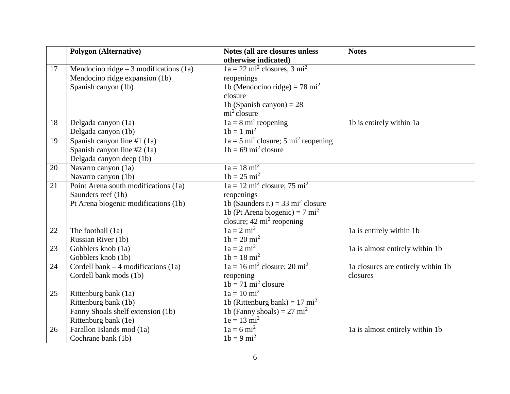|    | <b>Polygon</b> (Alternative)            | Notes (all are closures unless                                | <b>Notes</b>                       |
|----|-----------------------------------------|---------------------------------------------------------------|------------------------------------|
|    |                                         | otherwise indicated)                                          |                                    |
| 17 | Mendocino ridge $-3$ modifications (1a) | $1a = 22 mi2$ closures, $3 mi2$                               |                                    |
|    | Mendocino ridge expansion (1b)          | reopenings                                                    |                                    |
|    | Spanish canyon (1b)                     | 1b (Mendocino ridge) = 78 mi <sup>2</sup>                     |                                    |
|    |                                         | closure                                                       |                                    |
|    |                                         | 1b (Spanish canyon) = $28$                                    |                                    |
|    |                                         | $\overline{\text{mi}^2}$ closure                              |                                    |
| 18 | Delgada canyon (1a)                     | $1a = 8 \text{ mi}^2$ reopening                               | 1b is entirely within 1a           |
|    | Delgada canyon (1b)                     | $1b = 1 mi^2$                                                 |                                    |
| 19 | Spanish canyon line #1 $(1a)$           | $1a = 5$ mi <sup>2</sup> closure; 5 mi <sup>2</sup> reopening |                                    |
|    | Spanish canyon line #2 (1a)             | $1b = 69$ mi <sup>2</sup> closure                             |                                    |
|    | Delgada canyon deep (1b)                |                                                               |                                    |
| 20 | Navarro canyon (1a)                     | $1a = 18 mi2$                                                 |                                    |
|    | Navarro canyon (1b)                     | $1b = 25$ mi <sup>2</sup>                                     |                                    |
| 21 | Point Arena south modifications (1a)    | $1a = 12 \text{ mi}^2$ closure; 75 mi <sup>2</sup>            |                                    |
|    | Saunders reef (1b)                      | reopenings                                                    |                                    |
|    | Pt Arena biogenic modifications (1b)    | 1b (Saunders r.) = 33 mi <sup>2</sup> closure                 |                                    |
|    |                                         | 1b (Pt Arena biogenic) = $7 \text{ mi}^2$                     |                                    |
|    |                                         | closure; $42 \text{ mi}^2$ reopening                          |                                    |
| 22 | The football (1a)                       | $1a = 2 mi2$                                                  | 1a is entirely within 1b           |
|    | Russian River (1b)                      | $1b = 20$ mi <sup>2</sup>                                     |                                    |
| 23 | Gobblers knob (1a)                      | $1a = 2 mi2$                                                  | la is almost entirely within 1b    |
|    | Gobblers knob (1b)                      | $1b = 18$ mi <sup>2</sup>                                     |                                    |
| 24 | Cordell bank $-4$ modifications (1a)    | $1a = 16$ mi <sup>2</sup> closure; 20 mi <sup>2</sup>         | la closures are entirely within 1b |
|    | Cordell bank mods (1b)                  | reopening                                                     | closures                           |
|    |                                         | $1b = 71 \text{ mi}^2$ closure                                |                                    |
| 25 | Rittenburg bank (1a)                    | $1a = 10 \text{ mi}^2$                                        |                                    |
|    | Rittenburg bank (1b)                    | 1b (Rittenburg bank) = $17 \text{ mi}^2$                      |                                    |
|    | Fanny Shoals shelf extension (1b)       | 1b (Fanny shoals) = $27 \text{ mi}^2$                         |                                    |
|    | Rittenburg bank (1e)                    | $1e = 13 \text{ mi}^2$                                        |                                    |
| 26 | Farallon Islands mod (1a)               | $1a = 6 \text{ mi}^2$                                         | la is almost entirely within 1b    |
|    | Cochrane bank (1b)                      | $1b = 9 mi^2$                                                 |                                    |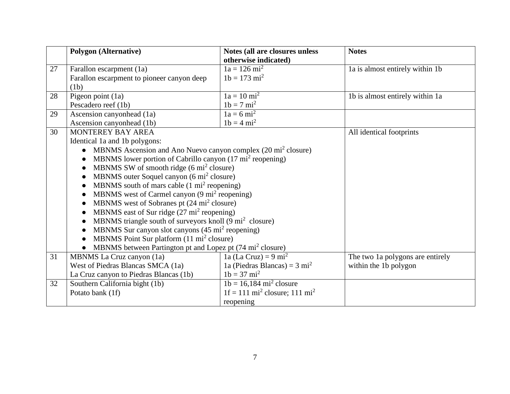|    | <b>Polygon</b> (Alternative)                                                           | Notes (all are closures unless                       | <b>Notes</b>                     |
|----|----------------------------------------------------------------------------------------|------------------------------------------------------|----------------------------------|
|    |                                                                                        | otherwise indicated)                                 |                                  |
| 27 | Farallon escarpment (1a)                                                               | $1a = 126$ mi <sup>2</sup>                           | la is almost entirely within 1b  |
|    | Farallon escarpment to pioneer canyon deep                                             | $1b = 173$ mi <sup>2</sup>                           |                                  |
|    | (1b)                                                                                   |                                                      |                                  |
| 28 | Pigeon point (1a)                                                                      | $1a = 10 \text{ mi}^2$                               | 1b is almost entirely within 1a  |
|    | Pescadero reef (1b)                                                                    | $1b = 7 mi^2$                                        |                                  |
| 29 | Ascension canyonhead (1a)                                                              | $1a = 6 mi^2$                                        |                                  |
|    | Ascension canyonhead (1b)                                                              | $1b = 4 mi^2$                                        |                                  |
| 30 | MONTEREY BAY AREA                                                                      |                                                      | All identical footprints         |
|    | Identical 1a and 1b polygons:                                                          |                                                      |                                  |
|    | MBNMS Ascension and Ano Nuevo canyon complex (20 mi <sup>2</sup> closure)<br>$\bullet$ |                                                      |                                  |
|    | MBNMS lower portion of Cabrillo canyon (17 mi <sup>2</sup> reopening)                  |                                                      |                                  |
|    | MBNMS SW of smooth ridge (6 mi <sup>2</sup> closure)                                   |                                                      |                                  |
|    | MBNMS outer Soquel canyon (6 mi <sup>2</sup> closure)                                  |                                                      |                                  |
|    | MBNMS south of mars cable $(1 \text{ mi}^2 \text{reopening})$                          |                                                      |                                  |
|    | MBNMS west of Carmel canyon (9 mi <sup>2</sup> reopening)                              |                                                      |                                  |
|    | MBNMS west of Sobranes pt (24 mi <sup>2</sup> closure)                                 |                                                      |                                  |
|    | MBNMS east of Sur ridge (27 mi <sup>2</sup> reopening)                                 |                                                      |                                  |
|    | MBNMS triangle south of surveyors knoll (9 mi <sup>2</sup> closure)                    |                                                      |                                  |
|    | MBNMS Sur canyon slot canyons (45 mi <sup>2</sup> reopening)                           |                                                      |                                  |
|    | MBNMS Point Sur platform (11 mi <sup>2</sup> closure)                                  |                                                      |                                  |
|    | MBNMS between Partington pt and Lopez pt (74 mi <sup>2</sup> closure)                  |                                                      |                                  |
| 31 | MBNMS La Cruz canyon (1a)                                                              | 1a (La Cruz) = $9 \text{ mi}^2$                      | The two 1a polygons are entirely |
|    | West of Piedras Blancas SMCA (1a)                                                      | 1a (Piedras Blancas) = $3 \text{ mi}^2$              | within the 1b polygon            |
|    | La Cruz canyon to Piedras Blancas (1b)                                                 | $1b = 37$ mi <sup>2</sup>                            |                                  |
| 32 | Southern California bight (1b)                                                         | $1b = 16,184 \text{ mi}^2 \text{ closure}$           |                                  |
|    | Potato bank (1f)                                                                       | $1f = 111 \text{ mi}^2$ closure; 111 mi <sup>2</sup> |                                  |
|    |                                                                                        | reopening                                            |                                  |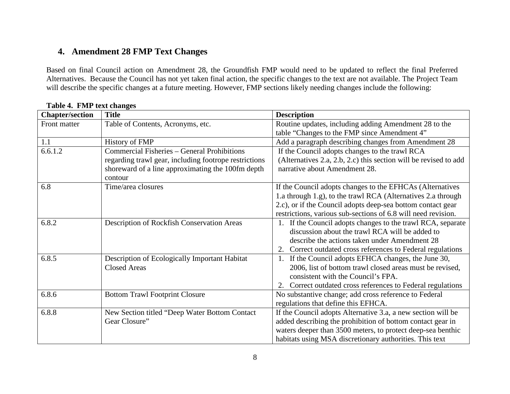## **4. Amendment 28 FMP Text Changes**

Based on final Council action on Amendment 28, the Groundfish FMP would need to be updated to reflect the final Preferred Alternatives. Because the Council has not yet taken final action, the specific changes to the text are not available. The Project Team will describe the specific changes at a future meeting. However, FMP sections likely needing changes include the following:

| <b>Chapter/section</b> | <b>Title</b>                                                 | <b>Description</b>                                               |
|------------------------|--------------------------------------------------------------|------------------------------------------------------------------|
| Front matter           | Table of Contents, Acronyms, etc.                            | Routine updates, including adding Amendment 28 to the            |
|                        |                                                              | table "Changes to the FMP since Amendment 4"                     |
| 1.1                    | History of FMP                                               | Add a paragraph describing changes from Amendment 28             |
| 6.6.1.2                | Commercial Fisheries - General Prohibitions                  | If the Council adopts changes to the trawl RCA                   |
|                        | regarding trawl gear, including footrope restrictions        | (Alternatives 2.a, 2.b, 2.c) this section will be revised to add |
|                        | shoreward of a line approximating the 100fm depth<br>contour | narrative about Amendment 28.                                    |
| 6.8                    | Time/area closures                                           | If the Council adopts changes to the EFHCAs (Alternatives        |
|                        |                                                              | 1.a through 1.g), to the trawl RCA (Alternatives 2.a through     |
|                        |                                                              | 2.c), or if the Council adopts deep-sea bottom contact gear      |
|                        |                                                              | restrictions, various sub-sections of 6.8 will need revision.    |
| 6.8.2                  | Description of Rockfish Conservation Areas                   | 1. If the Council adopts changes to the trawl RCA, separate      |
|                        |                                                              | discussion about the trawl RCA will be added to                  |
|                        |                                                              | describe the actions taken under Amendment 28                    |
|                        |                                                              | 2. Correct outdated cross references to Federal regulations      |
| 6.8.5                  | Description of Ecologically Important Habitat                | If the Council adopts EFHCA changes, the June 30,<br>1.          |
|                        | <b>Closed Areas</b>                                          | 2006, list of bottom trawl closed areas must be revised,         |
|                        |                                                              | consistent with the Council's FPA.                               |
|                        |                                                              | 2. Correct outdated cross references to Federal regulations      |
| 6.8.6                  | <b>Bottom Trawl Footprint Closure</b>                        | No substantive change; add cross reference to Federal            |
|                        |                                                              | regulations that define this EFHCA.                              |
| 6.8.8                  | New Section titled "Deep Water Bottom Contact                | If the Council adopts Alternative 3.a, a new section will be     |
|                        | Gear Closure"                                                | added describing the prohibition of bottom contact gear in       |
|                        |                                                              | waters deeper than 3500 meters, to protect deep-sea benthic      |
|                        |                                                              | habitats using MSA discretionary authorities. This text          |

### **Table 4. FMP text changes**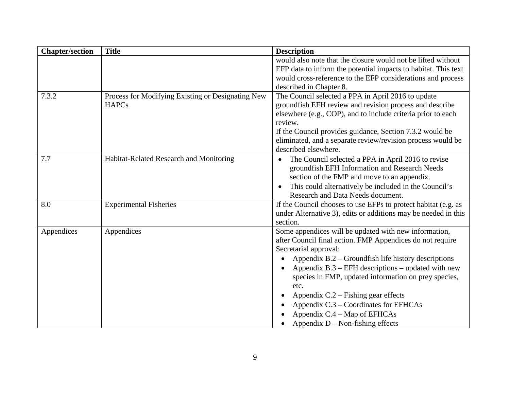| <b>Chapter/section</b> | <b>Title</b>                                                      | <b>Description</b>                                                                                                                                                                                                                                                                                                                                                                                                                                                                                             |
|------------------------|-------------------------------------------------------------------|----------------------------------------------------------------------------------------------------------------------------------------------------------------------------------------------------------------------------------------------------------------------------------------------------------------------------------------------------------------------------------------------------------------------------------------------------------------------------------------------------------------|
|                        |                                                                   | would also note that the closure would not be lifted without<br>EFP data to inform the potential impacts to habitat. This text<br>would cross-reference to the EFP considerations and process<br>described in Chapter 8.                                                                                                                                                                                                                                                                                       |
| 7.3.2                  | Process for Modifying Existing or Designating New<br><b>HAPCs</b> | The Council selected a PPA in April 2016 to update<br>groundfish EFH review and revision process and describe<br>elsewhere (e.g., COP), and to include criteria prior to each<br>review.<br>If the Council provides guidance, Section 7.3.2 would be<br>eliminated, and a separate review/revision process would be<br>described elsewhere.                                                                                                                                                                    |
| 7.7                    | Habitat-Related Research and Monitoring                           | The Council selected a PPA in April 2016 to revise<br>groundfish EFH Information and Research Needs<br>section of the FMP and move to an appendix.<br>This could alternatively be included in the Council's<br>Research and Data Needs document.                                                                                                                                                                                                                                                               |
| 8.0                    | <b>Experimental Fisheries</b>                                     | If the Council chooses to use EFPs to protect habitat (e.g. as<br>under Alternative 3), edits or additions may be needed in this<br>section.                                                                                                                                                                                                                                                                                                                                                                   |
| Appendices             | Appendices                                                        | Some appendices will be updated with new information,<br>after Council final action. FMP Appendices do not require<br>Secretarial approval:<br>Appendix $B.2 -$ Groundfish life history descriptions<br>Appendix $B.3$ – EFH descriptions – updated with new<br>species in FMP, updated information on prey species,<br>etc.<br>Appendix $C.2$ – Fishing gear effects<br>$\bullet$<br>Appendix C.3 – Coordinates for EFHCAs<br>$\bullet$<br>Appendix C.4 – Map of EFHCAs<br>Appendix $D$ – Non-fishing effects |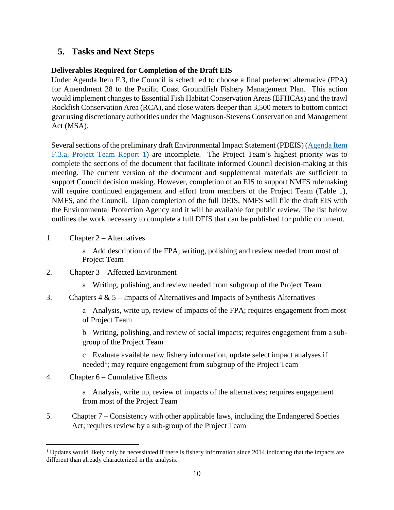## **5. Tasks and Next Steps**

### **Deliverables Required for Completion of the Draft EIS**

Under Agenda Item F.3, the Council is scheduled to choose a final preferred alternative (FPA) for Amendment 28 to the Pacific Coast Groundfish Fishery Management Plan. This action would implement changes to Essential Fish Habitat Conservation Areas (EFHCAs) and the trawl Rockfish Conservation Area (RCA), and close waters deeper than 3,500 meters to bottom contact gear using discretionary authorities under the Magnuson-Stevens Conservation and Management Act (MSA).

Several sections of the preliminary draft Environmental Impact Statement (PDEIS) (Agenda Item [F.3.a, Project Team Report 1\)](https://www.pcouncil.org/wp-content/uploads/2018/03/F3a_Project_Team_Report1_Apr2018BB.pdf) are incomplete. The Project Team's highest priority was to complete the sections of the document that facilitate informed Council decision-making at this meeting. The current version of the document and supplemental materials are sufficient to support Council decision making. However, completion of an EIS to support NMFS rulemaking will require continued engagement and effort from members of the Project Team (Table 1), NMFS, and the Council. Upon completion of the full DEIS, NMFS will file the draft EIS with the Environmental Protection Agency and it will be available for public review. The list below outlines the work necessary to complete a full DEIS that can be published for public comment.

- 1. Chapter 2 Alternatives
	- a Add description of the FPA; writing, polishing and review needed from most of Project Team
- 2. Chapter 3 Affected Environment
	- a Writing, polishing, and review needed from subgroup of the Project Team
- 3. Chapters 4 & 5 Impacts of Alternatives and Impacts of Synthesis Alternatives

a Analysis, write up, review of impacts of the FPA; requires engagement from most of Project Team

b Writing, polishing, and review of social impacts; requires engagement from a subgroup of the Project Team

c Evaluate available new fishery information, update select impact analyses if needed<sup>[1](#page-9-0)</sup>; may require engagement from subgroup of the Project Team

4. Chapter 6 – Cumulative Effects

 $\overline{a}$ 

a Analysis, write up, review of impacts of the alternatives; requires engagement from most of the Project Team

5. Chapter 7 – Consistency with other applicable laws, including the Endangered Species Act; requires review by a sub-group of the Project Team

<span id="page-9-0"></span><sup>1</sup> Updates would likely only be necessitated if there is fishery information since 2014 indicating that the impacts are different than already characterized in the analysis.